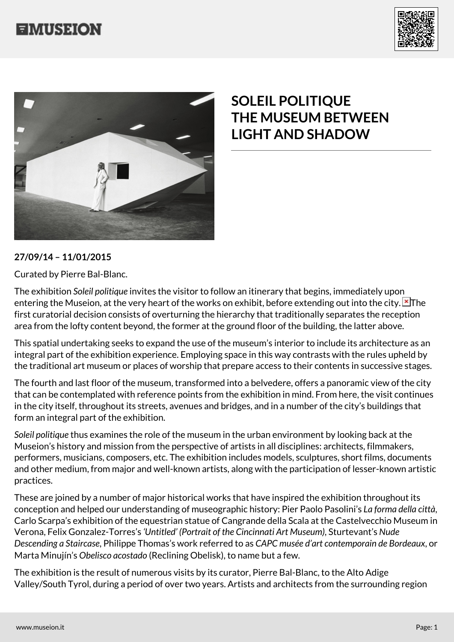





## **SOLEIL POLITIQUE THE MUSEUM BETWEEN LIGHT AND SHADOW**

## **27/09/14 – 11/01/2015**

Curated by Pierre Bal-Blanc.

The exhibition *Soleil politique* invites the visitor to follow an itinerary that begins, immediately upon entering the Museion, at the very heart of the works on exhibit, before extending out into the city. The first curatorial decision consists of overturning the hierarchy that traditionally separates the reception area from the lofty content beyond, the former at the ground floor of the building, the latter above.

This spatial undertaking seeks to expand the use of the museum's interior to include its architecture as an integral part of the exhibition experience. Employing space in this way contrasts with the rules upheld by the traditional art museum or places of worship that prepare access to their contents in successive stages.

The fourth and last floor of the museum, transformed into a belvedere, offers a panoramic view of the city that can be contemplated with reference points from the exhibition in mind. From here, the visit continues in the city itself, throughout its streets, avenues and bridges, and in a number of the city's buildings that form an integral part of the exhibition.

*Soleil politique* thus examines the role of the museum in the urban environment by looking back at the Museion's history and mission from the perspective of artists in all disciplines: architects, filmmakers, performers, musicians, composers, etc. The exhibition includes models, sculptures, short films, documents and other medium, from major and well-known artists, along with the participation of lesser-known artistic practices.

These are joined by a number of major historical works that have inspired the exhibition throughout its conception and helped our understanding of museographic history: Pier Paolo Pasolini's *La forma della città*, Carlo Scarpa's exhibition of the equestrian statue of Cangrande della Scala at the Castelvecchio Museum in Verona, Felix Gonzalez-Torres's *'Untitled' (Portrait of the Cincinnati Art Museum)*, Sturtevant's *Nude Descending a Staircase*, Philippe Thomas's work referred to as *CAPC musée d'art contemporain de Bordeaux*, or Marta Minujín's *Obelisco acostado* (Reclining Obelisk), to name but a few.

The exhibition is the result of numerous visits by its curator, Pierre Bal-Blanc, to the Alto Adige Valley/South Tyrol, during a period of over two years. Artists and architects from the surrounding region